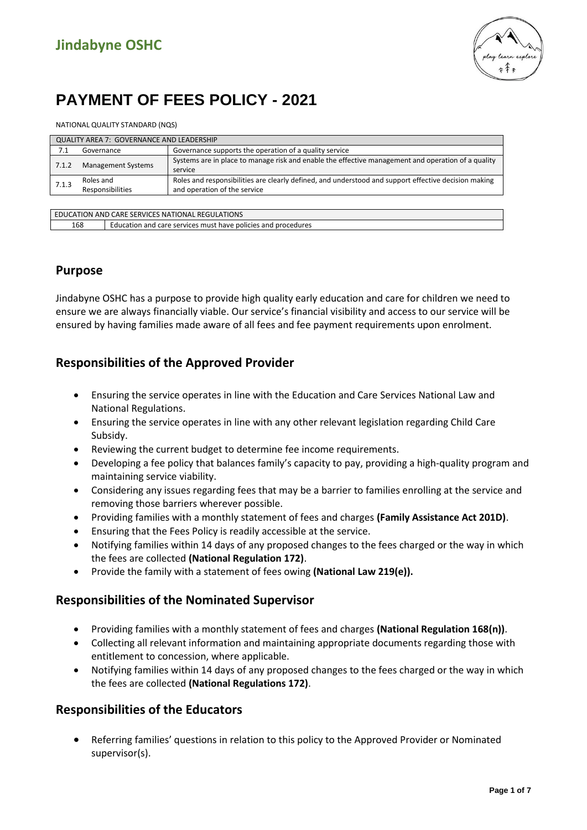

# **PAYMENT OF FEES POLICY - 2021**

NATIONAL QUALITY STANDARD (NQS)

| QUALITY AREA 7: GOVERNANCE AND LEADERSHIP |                               |                                                                                                                                      |  |
|-------------------------------------------|-------------------------------|--------------------------------------------------------------------------------------------------------------------------------------|--|
| 7.1                                       | Governance                    | Governance supports the operation of a quality service                                                                               |  |
| 7.1.2                                     | Management Systems            | Systems are in place to manage risk and enable the effective management and operation of a quality<br>service                        |  |
| 7.1.3                                     | Roles and<br>Responsibilities | Roles and responsibilities are clearly defined, and understood and support effective decision making<br>and operation of the service |  |
|                                           |                               |                                                                                                                                      |  |

| <b>ICATION AND CARE SERVICES NATIONAL REGULATIONS</b><br>EDUC |                                                               |  |
|---------------------------------------------------------------|---------------------------------------------------------------|--|
| 168                                                           | Education and care services must have policies and procedures |  |
|                                                               |                                                               |  |

# **Purpose**

Jindabyne OSHC has a purpose to provide high quality early education and care for children we need to ensure we are always financially viable. Our service's financial visibility and access to our service will be ensured by having families made aware of all fees and fee payment requirements upon enrolment.

# **Responsibilities of the Approved Provider**

- Ensuring the service operates in line with the Education and Care Services National Law and National Regulations.
- Ensuring the service operates in line with any other relevant legislation regarding Child Care Subsidy.
- Reviewing the current budget to determine fee income requirements.
- Developing a fee policy that balances family's capacity to pay, providing a high-quality program and maintaining service viability.
- Considering any issues regarding fees that may be a barrier to families enrolling at the service and removing those barriers wherever possible.
- Providing families with a monthly statement of fees and charges **(Family Assistance Act 201D)**.
- Ensuring that the Fees Policy is readily accessible at the service.
- Notifying families within 14 days of any proposed changes to the fees charged or the way in which the fees are collected **(National Regulation 172)**.
- Provide the family with a statement of fees owing **(National Law 219(e)).**

# **Responsibilities of the Nominated Supervisor**

- Providing families with a monthly statement of fees and charges **(National Regulation 168(n))**.
- Collecting all relevant information and maintaining appropriate documents regarding those with entitlement to concession, where applicable.
- Notifying families within 14 days of any proposed changes to the fees charged or the way in which the fees are collected **(National Regulations 172)**.

# **Responsibilities of the Educators**

• Referring families' questions in relation to this policy to the Approved Provider or Nominated supervisor(s).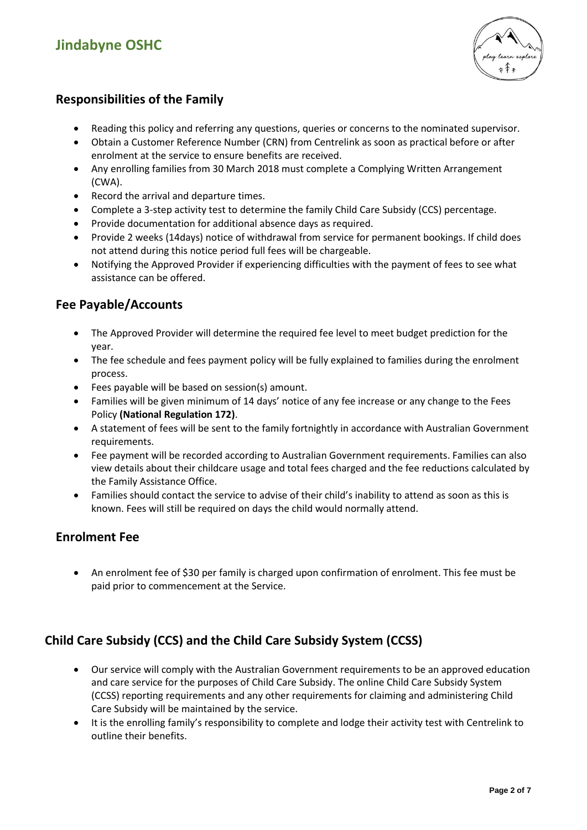# **Jindabyne OSHC**



# **Responsibilities of the Family**

- Reading this policy and referring any questions, queries or concerns to the nominated supervisor.
- Obtain a Customer Reference Number (CRN) from Centrelink as soon as practical before or after enrolment at the service to ensure benefits are received.
- Any enrolling families from 30 March 2018 must complete a Complying Written Arrangement (CWA).
- Record the arrival and departure times.
- Complete a 3-step activity test to determine the family Child Care Subsidy (CCS) percentage.
- Provide documentation for additional absence days as required.
- Provide 2 weeks (14days) notice of withdrawal from service for permanent bookings. If child does not attend during this notice period full fees will be chargeable.
- Notifying the Approved Provider if experiencing difficulties with the payment of fees to see what assistance can be offered.

# **Fee Payable/Accounts**

- The Approved Provider will determine the required fee level to meet budget prediction for the year.
- The fee schedule and fees payment policy will be fully explained to families during the enrolment process.
- Fees payable will be based on session(s) amount.
- Families will be given minimum of 14 days' notice of any fee increase or any change to the Fees Policy **(National Regulation 172)**.
- A statement of fees will be sent to the family fortnightly in accordance with Australian Government requirements.
- Fee payment will be recorded according to Australian Government requirements. Families can also view details about their childcare usage and total fees charged and the fee reductions calculated by the Family Assistance Office.
- Families should contact the service to advise of their child's inability to attend as soon as this is known. Fees will still be required on days the child would normally attend.

### **Enrolment Fee**

• An enrolment fee of \$30 per family is charged upon confirmation of enrolment. This fee must be paid prior to commencement at the Service.

# **Child Care Subsidy (CCS) and the Child Care Subsidy System (CCSS)**

- Our service will comply with the Australian Government requirements to be an approved education and care service for the purposes of Child Care Subsidy. The online Child Care Subsidy System (CCSS) reporting requirements and any other requirements for claiming and administering Child Care Subsidy will be maintained by the service.
- It is the enrolling family's responsibility to complete and lodge their activity test with Centrelink to outline their benefits.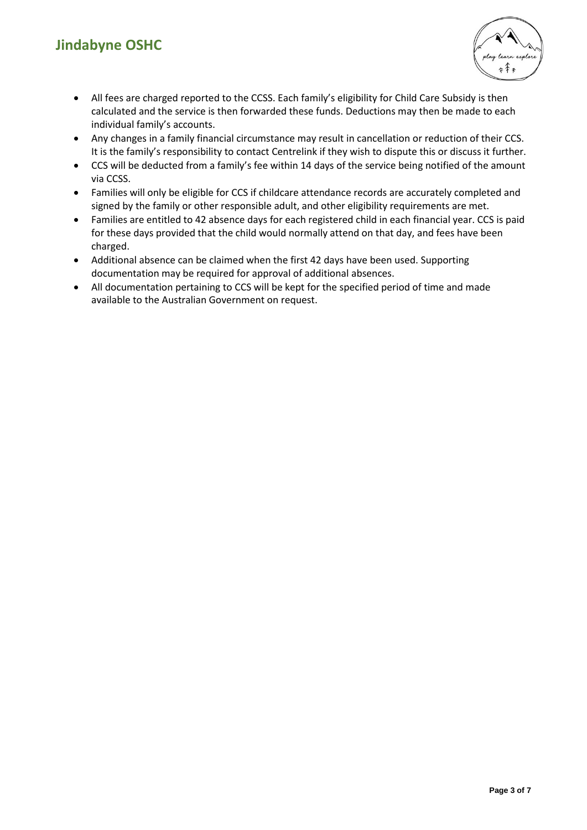# **Jindabyne OSHC**



- All fees are charged reported to the CCSS. Each family's eligibility for Child Care Subsidy is then calculated and the service is then forwarded these funds. Deductions may then be made to each individual family's accounts.
- Any changes in a family financial circumstance may result in cancellation or reduction of their CCS. It is the family's responsibility to contact Centrelink if they wish to dispute this or discuss it further.
- CCS will be deducted from a family's fee within 14 days of the service being notified of the amount via CCSS.
- Families will only be eligible for CCS if childcare attendance records are accurately completed and signed by the family or other responsible adult, and other eligibility requirements are met.
- Families are entitled to 42 absence days for each registered child in each financial year. CCS is paid for these days provided that the child would normally attend on that day, and fees have been charged.
- Additional absence can be claimed when the first 42 days have been used. Supporting documentation may be required for approval of additional absences.
- All documentation pertaining to CCS will be kept for the specified period of time and made available to the Australian Government on request.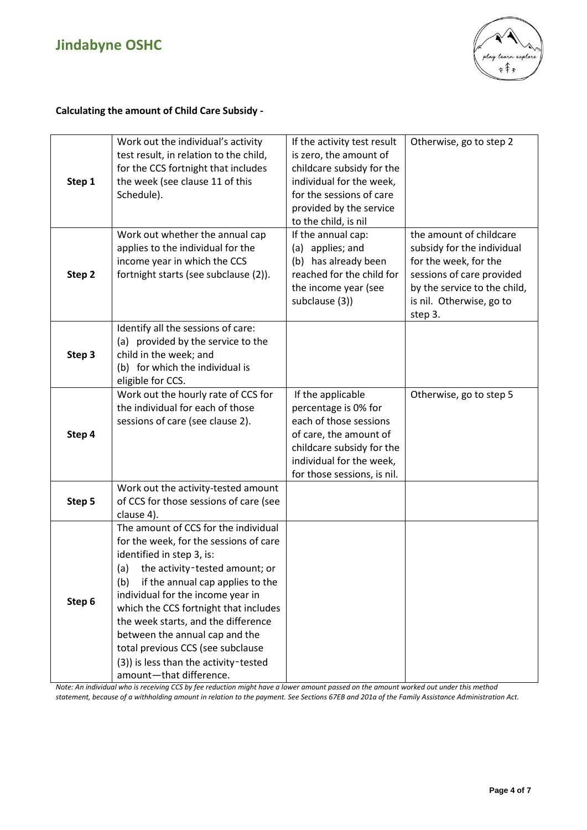

#### **Calculating the amount of Child Care Subsidy -**

| Step 1 | Work out the individual's activity<br>test result, in relation to the child,<br>for the CCS fortnight that includes<br>the week (see clause 11 of this<br>Schedule).                                                                                                                                                                                                                                                                                            | If the activity test result<br>is zero, the amount of<br>childcare subsidy for the<br>individual for the week,<br>for the sessions of care<br>provided by the service<br>to the child, is nil | Otherwise, go to step 2                                                                                                                                                            |
|--------|-----------------------------------------------------------------------------------------------------------------------------------------------------------------------------------------------------------------------------------------------------------------------------------------------------------------------------------------------------------------------------------------------------------------------------------------------------------------|-----------------------------------------------------------------------------------------------------------------------------------------------------------------------------------------------|------------------------------------------------------------------------------------------------------------------------------------------------------------------------------------|
| Step 2 | Work out whether the annual cap<br>applies to the individual for the<br>income year in which the CCS<br>fortnight starts (see subclause (2)).                                                                                                                                                                                                                                                                                                                   | If the annual cap:<br>(a) applies; and<br>(b) has already been<br>reached for the child for<br>the income year (see<br>subclause (3))                                                         | the amount of childcare<br>subsidy for the individual<br>for the week, for the<br>sessions of care provided<br>by the service to the child,<br>is nil. Otherwise, go to<br>step 3. |
| Step 3 | Identify all the sessions of care:<br>(a) provided by the service to the<br>child in the week; and<br>(b) for which the individual is<br>eligible for CCS.                                                                                                                                                                                                                                                                                                      |                                                                                                                                                                                               |                                                                                                                                                                                    |
| Step 4 | Work out the hourly rate of CCS for<br>the individual for each of those<br>sessions of care (see clause 2).                                                                                                                                                                                                                                                                                                                                                     | If the applicable<br>percentage is 0% for<br>each of those sessions<br>of care, the amount of<br>childcare subsidy for the<br>individual for the week,<br>for those sessions, is nil.         | Otherwise, go to step 5                                                                                                                                                            |
| Step 5 | Work out the activity-tested amount<br>of CCS for those sessions of care (see<br>clause 4).                                                                                                                                                                                                                                                                                                                                                                     |                                                                                                                                                                                               |                                                                                                                                                                                    |
| Step 6 | The amount of CCS for the individual<br>for the week, for the sessions of care<br>identified in step 3, is:<br>the activity-tested amount; or<br>(a)<br>(b)<br>if the annual cap applies to the<br>individual for the income year in<br>which the CCS fortnight that includes<br>the week starts, and the difference<br>between the annual cap and the<br>total previous CCS (see subclause<br>(3)) is less than the activity-tested<br>amount-that difference. |                                                                                                                                                                                               |                                                                                                                                                                                    |

*Note: An individual who is receiving CCS by fee reduction might have a lower amount passed on the amount worked out under this method statement, because of a withholding amount in relation to the payment. See Sections 67EB and 201a of the Family Assistance Administration Act.*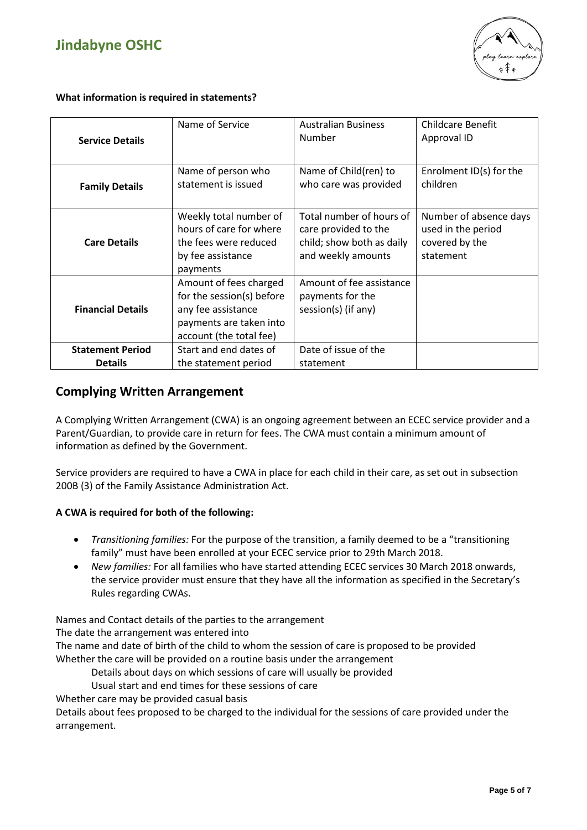



**What information is required in statements?**

| <b>Service Details</b>   | Name of Service           | <b>Australian Business</b><br>Number | Childcare Benefit<br>Approval ID |
|--------------------------|---------------------------|--------------------------------------|----------------------------------|
|                          |                           |                                      |                                  |
|                          | Name of person who        | Name of Child(ren) to                | Enrolment ID(s) for the          |
| <b>Family Details</b>    | statement is issued       | who care was provided                | children                         |
|                          |                           |                                      |                                  |
|                          | Weekly total number of    | Total number of hours of             | Number of absence days           |
|                          | hours of care for where   | care provided to the                 | used in the period               |
| <b>Care Details</b>      | the fees were reduced     | child; show both as daily            | covered by the                   |
|                          | by fee assistance         | and weekly amounts                   | statement                        |
|                          | payments                  |                                      |                                  |
|                          | Amount of fees charged    | Amount of fee assistance             |                                  |
|                          | for the session(s) before | payments for the                     |                                  |
| <b>Financial Details</b> | any fee assistance        | session(s) (if any)                  |                                  |
|                          | payments are taken into   |                                      |                                  |
|                          | account (the total fee)   |                                      |                                  |
| <b>Statement Period</b>  | Start and end dates of    | Date of issue of the                 |                                  |
| <b>Details</b>           | the statement period      | statement                            |                                  |

### **Complying Written Arrangement**

A Complying Written Arrangement (CWA) is an ongoing agreement between an ECEC service provider and a Parent/Guardian, to provide care in return for fees. The CWA must contain a minimum amount of information as defined by the Government.

Service providers are required to have a CWA in place for each child in their care, as set out in subsection 200B (3) of the Family Assistance Administration Act.

#### **A CWA is required for both of the following:**

- *Transitioning families:* For the purpose of the transition, a family deemed to be a "transitioning family" must have been enrolled at your ECEC service prior to 29th March 2018.
- *New families:* For all families who have started attending ECEC services 30 March 2018 onwards, the service provider must ensure that they have all the information as specified in the Secretary's Rules regarding CWAs.

Names and Contact details of the parties to the arrangement

The date the arrangement was entered into

The name and date of birth of the child to whom the session of care is proposed to be provided Whether the care will be provided on a routine basis under the arrangement

- Details about days on which sessions of care will usually be provided
- Usual start and end times for these sessions of care

Whether care may be provided casual basis

Details about fees proposed to be charged to the individual for the sessions of care provided under the arrangement.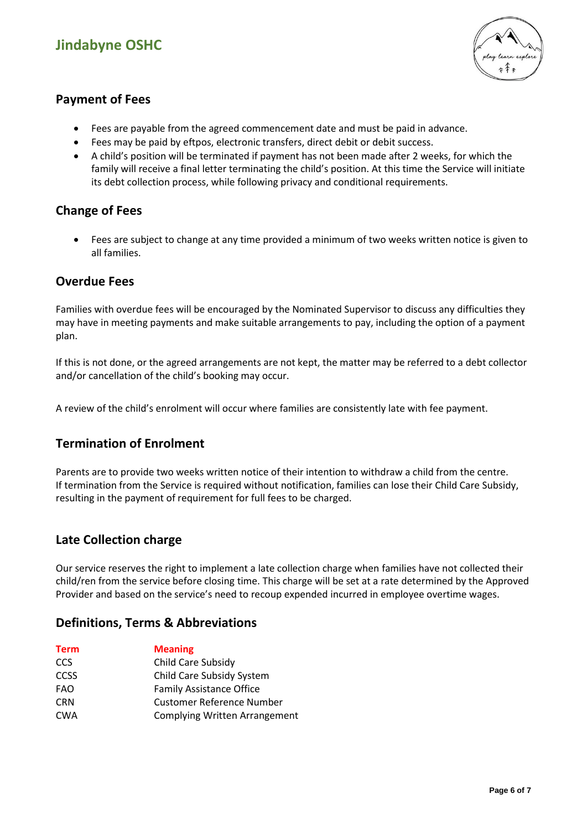# **Jindabyne OSHC**



# **Payment of Fees**

- Fees are payable from the agreed commencement date and must be paid in advance.
- Fees may be paid by eftpos, electronic transfers, direct debit or debit success.
- A child's position will be terminated if payment has not been made after 2 weeks, for which the family will receive a final letter terminating the child's position. At this time the Service will initiate its debt collection process, while following privacy and conditional requirements.

### **Change of Fees**

• Fees are subject to change at any time provided a minimum of two weeks written notice is given to all families.

# **Overdue Fees**

Families with overdue fees will be encouraged by the Nominated Supervisor to discuss any difficulties they may have in meeting payments and make suitable arrangements to pay, including the option of a payment plan.

If this is not done, or the agreed arrangements are not kept, the matter may be referred to a debt collector and/or cancellation of the child's booking may occur.

A review of the child's enrolment will occur where families are consistently late with fee payment.

# **Termination of Enrolment**

Parents are to provide two weeks written notice of their intention to withdraw a child from the centre. If termination from the Service is required without notification, families can lose their Child Care Subsidy, resulting in the payment of requirement for full fees to be charged.

# **Late Collection charge**

Our service reserves the right to implement a late collection charge when families have not collected their child/ren from the service before closing time. This charge will be set at a rate determined by the Approved Provider and based on the service's need to recoup expended incurred in employee overtime wages.

### **Definitions, Terms & Abbreviations**

| <b>Term</b> | <b>Meaning</b>                       |
|-------------|--------------------------------------|
| <b>CCS</b>  | Child Care Subsidy                   |
| <b>CCSS</b> | Child Care Subsidy System            |
| <b>FAO</b>  | <b>Family Assistance Office</b>      |
| <b>CRN</b>  | <b>Customer Reference Number</b>     |
| <b>CWA</b>  | <b>Complying Written Arrangement</b> |